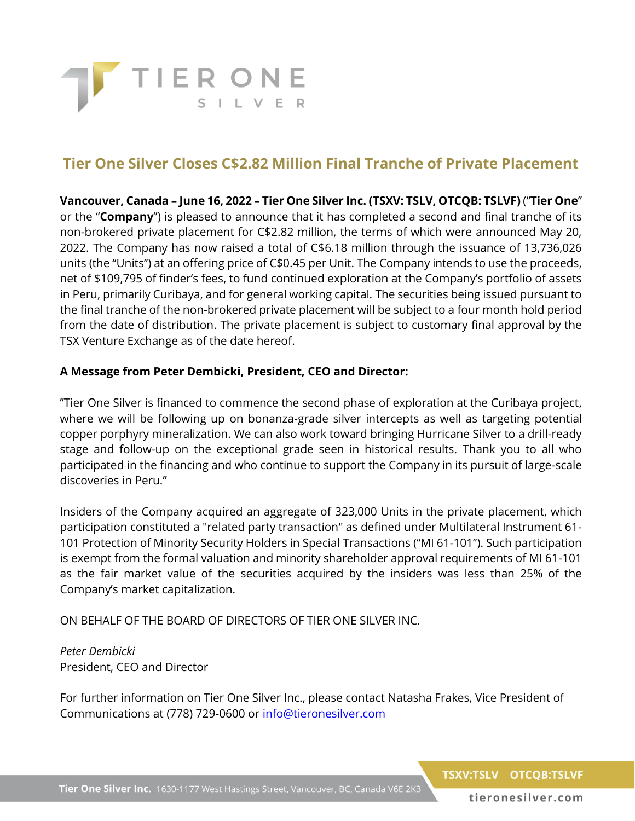

## **Tier One Silver Closes C\$2.82 Million Final Tranche of Private Placement**

**Vancouver, Canada – June 16, 2022 – Tier One Silver Inc. (TSXV: TSLV, OTCQB: TSLVF)** ("**Tier One**" or the "**Company**") is pleased to announce that it has completed a second and final tranche of its non-brokered private placement for C\$2.82 million, the terms of which were announced May 20, 2022. The Company has now raised a total of C\$6.18 million through the issuance of 13,736,026 units (the "Units") at an offering price of C\$0.45 per Unit. The Company intends to use the proceeds, net of \$109,795 of finder's fees, to fund continued exploration at the Company's portfolio of assets in Peru, primarily Curibaya, and for general working capital. The securities being issued pursuant to the final tranche of the non-brokered private placement will be subject to a four month hold period from the date of distribution. The private placement is subject to customary final approval by the TSX Venture Exchange as of the date hereof.

## **A Message from Peter Dembicki, President, CEO and Director:**

"Tier One Silver is financed to commence the second phase of exploration at the Curibaya project, where we will be following up on bonanza-grade silver intercepts as well as targeting potential copper porphyry mineralization. We can also work toward bringing Hurricane Silver to a drill-ready stage and follow-up on the exceptional grade seen in historical results. Thank you to all who participated in the financing and who continue to support the Company in its pursuit of large-scale discoveries in Peru."

Insiders of the Company acquired an aggregate of 323,000 Units in the private placement, which participation constituted a "related party transaction" as defined under Multilateral Instrument 61- 101 Protection of Minority Security Holders in Special Transactions ("MI 61-101"). Such participation is exempt from the formal valuation and minority shareholder approval requirements of MI 61-101 as the fair market value of the securities acquired by the insiders was less than 25% of the Company's market capitalization.

ON BEHALF OF THE BOARD OF DIRECTORS OF TIER ONE SILVER INC.

*Peter Dembicki* President, CEO and Director

For further information on Tier One Silver Inc., please contact Natasha Frakes, Vice President of Communications at (778) 729-0600 or [info@tieronesilver.com](mailto:info@tieronesilver.com)